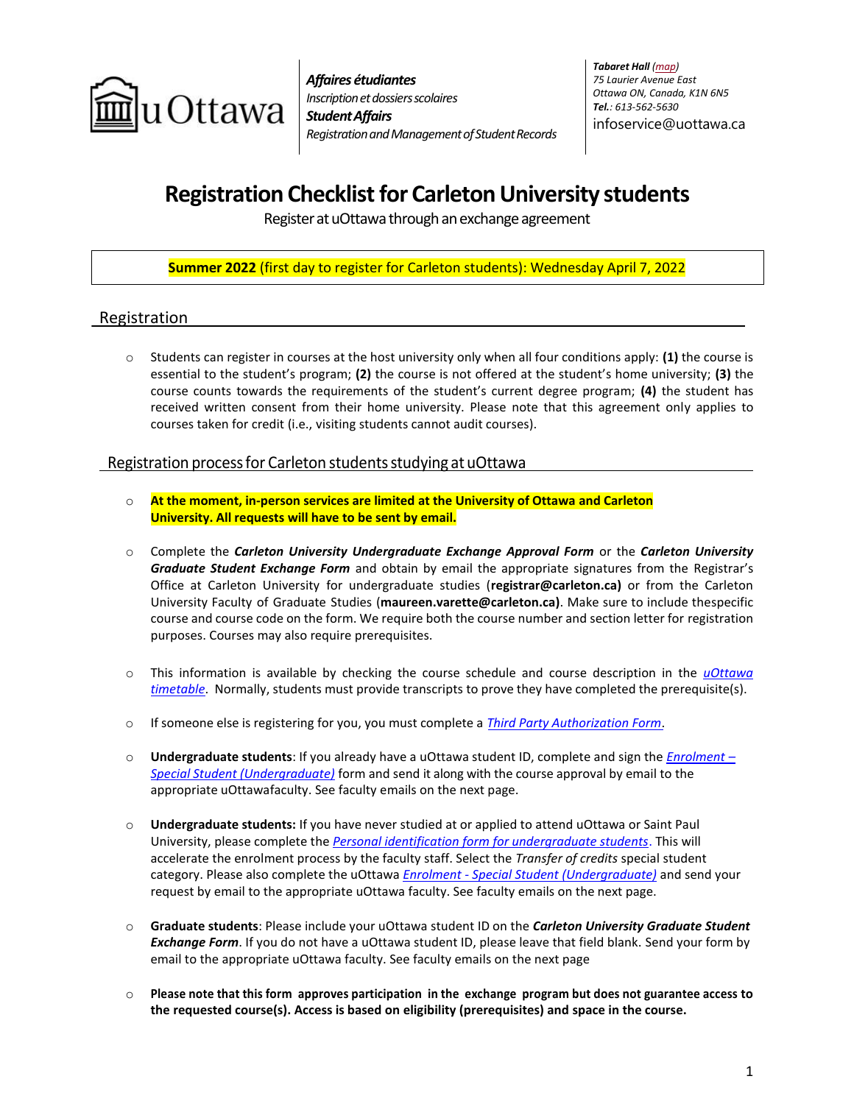

*Affaires étudiantes Inscription et dossiers scolaires StudentAffairs RegistrationandManagementofStudentRecords* *Tabaret Hall [\(map\)](http://maps.uottawa.ca/?building=TBT) 75 Laurier Avenue East Ottawa ON, Canada, K1N 6N5 Tel.: 613-562-5630* [infoservice@uottawa.ca](mailto:infoservice@uottawa.ca)

# **Registration Checklist for Carleton University students**

Register at uOttawa through an exchange agreement

## **Summer 2022** (first day to register for Carleton students): Wednesday April 7, 2022

## Registration

o Students can register in courses at the host university only when all four conditions apply: **(1)** the course is essential to the student's program; **(2)** the course is not offered at the student's home university; **(3)** the course counts towards the requirements of the student's current degree program; **(4)** the student has received written consent from their home university. Please note that this agreement only applies to courses taken for credit (i.e., visiting students cannot audit courses).

### Registration processfor Carleton studentsstudying at uOttawa

- o **At the moment, in-person services are limited at the University of Ottawa and Carleton University. All requests will have to be sent by email.**
- o Complete the *Carleton University Undergraduate Exchange Approval Form* or the *Carleton University Graduate Student Exchange Form* and obtain by email the appropriate signatures from the Registrar's Office at Carleton University for undergraduate studies (**[registrar@carleton.ca\)](mailto:registrar@carleton.ca)** or from the Carleton University Faculty of Graduate Studies (**[maureen.varette@carleton.ca\)](mailto:maureen.varette@carleton.ca)**. Make sure to include thespecific course and course code on the form. We require both the course number and section letter for registration purposes. Courses may also require prerequisites.
- o This information is available by checking the course schedule and course description in the *[uOttawa](https://www.uottawa.ca/course-timetable/) [timetable](https://www.uottawa.ca/course-timetable/)*. Normally, students must provide transcripts to prove they have completed the prerequisite(s).
- o If someone else is registering for you, you must complete a *Third Party [Authorization](https://www.uottawa.ca/forms-and-tools/sites/www.uottawa.ca.forms-and-tools/files/third-party-authorization-form-to-release-student-information-regi3200.pdf) Form*.
- o **Undergraduate students**: If you already have a uOttawa student ID, complete and sign the *[Enrolment](https://www.uottawa.ca/forms-and-tools/sites/www.uottawa.ca.forms-and-tools/files/registration-special-student-undergraduate-regi3140.pdf) – Special Student [\(Undergraduate\)](https://www.uottawa.ca/forms-and-tools/sites/www.uottawa.ca.forms-and-tools/files/registration-special-student-undergraduate-regi3140.pdf)* form and send it along with the course approval by email to the appropriate uOttawafaculty. See faculty emails on the next page.
- o **Undergraduate students:** If you have never studied at or applied to attend uOttawa or Saint Paul University, please complete the *[Personal identification form for undergraduate students](https://uoforms.uottawa.ca/specialstudent/en)*. This will accelerate the enrolment process by the faculty staff. Select the *Transfer of credits* special student category. Please also complete the uOttawa *Enrolment - [Special Student \(Undergraduate\)](https://www.uottawa.ca/forms-and-tools/sites/www.uottawa.ca.forms-and-tools/files/registration-special-student-undergraduate-regi3140.pdf)* and send your request by email to the appropriate uOttawa faculty. See faculty emails on the next page.
- o **Graduate students**: Please include your uOttawa student ID on the *Carleton University Graduate Student Exchange Form*. If you do not have a uOttawa student ID, please leave that field blank. Send your form by email to the appropriate uOttawa faculty. See faculty emails on the next page
- o **Please note that this form approves participation in the exchange program but does not guarantee access to the requested course(s). Access is based on eligibility (prerequisites) and space in the course.**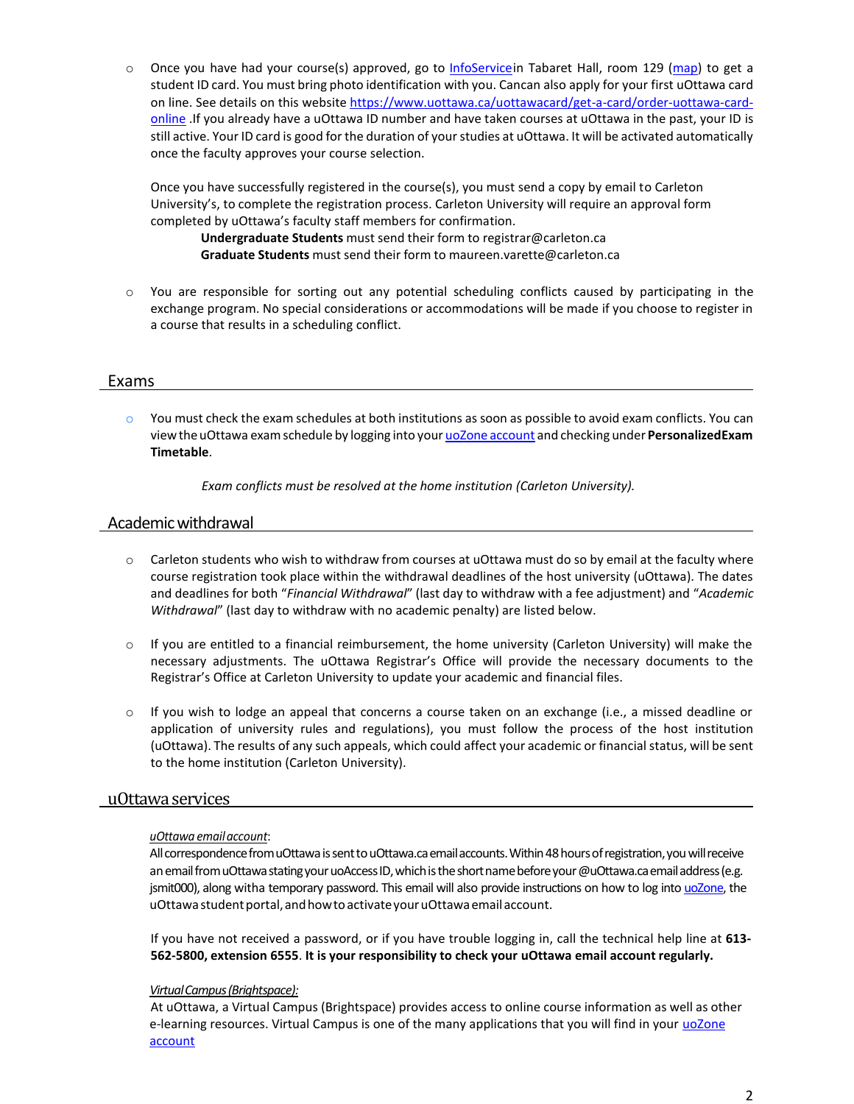$\circ$  Once you have had your course(s) approved, go to [InfoServicei](http://www.uottawa.ca/en/contact)n Tabaret Hall, room 129 [\(map\)](http://maps.uottawa.ca/) to get a student ID card. You must bring photo identification with you. Cancan also apply for your first uOttawa card on line. See details on this website [https://www.uottawa.ca/uottawacard/get-a-card/order-uottawa-card](https://www.uottawa.ca/uottawacard/get-a-card/order-uottawa-card-online)[online](https://www.uottawa.ca/uottawacard/get-a-card/order-uottawa-card-online) .If you already have a uOttawa ID number and have taken courses at uOttawa in the past, your ID is still active. Your ID card is good for the duration of your studies at uOttawa. It will be activated automatically once the faculty approves your course selection.

Once you have successfully registered in the course(s), you must send a copy by email to Carleton University's, to complete the registration process. Carleton University will require an approval form completed by uOttawa's faculty staff members for confirmation.

**Undergraduate Students** must send their form to [registrar@carleton.ca](mailto:registrar@carleton.ca) **Graduate Students** must send their form to [maureen.varette@carleton.ca](mailto:maureen.varette@carleton.ca)

o You are responsible for sorting out any potential scheduling conflicts caused by participating in the exchange program. No special considerations or accommodations will be made if you choose to register in a course that results in a scheduling conflict.

### Exams

 $\circ$  You must check the exam schedules at both institutions as soon as possible to avoid exam conflicts. You can viewtheuOttawa examschedule by logging into your uoZone [account](http://www.uottawa.ca/en/students) and checking under **PersonalizedExam Timetable**.

*Exam conflicts must be resolved at the home institution (Carleton University).*

### Academicwithdrawal

- o Carleton students who wish to withdraw from courses at uOttawa must do so by email at the faculty where course registration took place within the withdrawal deadlines of the host university (uOttawa). The dates and deadlines for both "*Financial Withdrawal*" (last day to withdraw with a fee adjustment) and "*Academic Withdrawal*" (last day to withdraw with no academic penalty) are listed below.
- $\circ$  If you are entitled to a financial reimbursement, the home university (Carleton University) will make the necessary adjustments. The uOttawa Registrar's Office will provide the necessary documents to the Registrar's Office at Carleton University to update your academic and financial files.
- o If you wish to lodge an appeal that concerns a course taken on an exchange (i.e., a missed deadline or application of university rules and regulations), you must follow the process of the host institution (uOttawa). The results of any such appeals, which could affect your academic or financialstatus, will be sent to the home institution (Carleton University).

#### uOttawaservices

#### *uOttawa emailaccount*:

All correspondence from uOttawa is sent to uOttawa.ca email accounts. Within 48 hours of registration, you will receive an email from uOttawa stating your uoAccess ID, which is the short name before your @uOttawa.ca email address (e.g. jsmit000), along witha temporary password. This email will also provide instructions on how to log into [uoZone,](http://www.uottawa.ca/en/students) the uOttawa student portal, and how to activate your uOttawa email account.

If you have not received a password, or if you have trouble logging in, call the technical help line at **613- 562-5800, extension 6555**. **It is your responsibility to check your uOttawa email account regularly.**

#### *VirtualCampus(Brightspace):*

At uOttawa, a Virtual Campus (Brightspace) provides access to online course information as well as other e-learning resources. Virtual Campus is one of the many applications that you will find in your [uoZone](http://www.uottawa.ca/en/students) [account](http://www.uottawa.ca/en/students)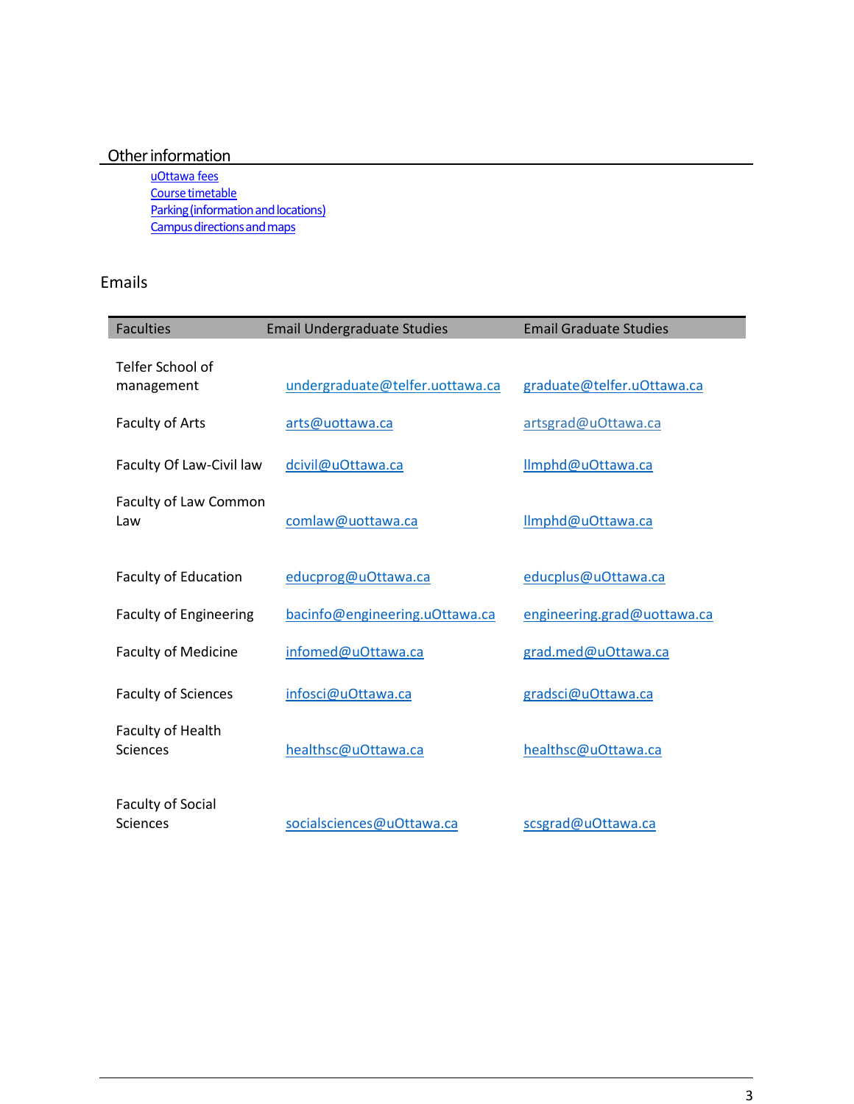## Other information

[uOttawa fees](https://www.uottawa.ca/university-fees/) Course timetable Parking (information and locations) Campus directions and maps

## Emails

| <b>Faculties</b>                            | <b>Email Undergraduate Studies</b> | <b>Email Graduate Studies</b> |  |
|---------------------------------------------|------------------------------------|-------------------------------|--|
| Telfer School of<br>management              | undergraduate@telfer.uottawa.ca    | graduate@telfer.uOttawa.ca    |  |
| <b>Faculty of Arts</b>                      | arts@uottawa.ca                    | artsgrad@uOttawa.ca           |  |
| Faculty Of Law-Civil law                    | dcivil@uOttawa.ca                  | Ilmphd@uOttawa.ca             |  |
| Faculty of Law Common<br>Law                | comlaw@uottawa.ca                  | Ilmphd@uOttawa.ca             |  |
| <b>Faculty of Education</b>                 | educprog@uOttawa.ca                | educplus@uOttawa.ca           |  |
| <b>Faculty of Engineering</b>               | bacinfo@engineering.uOttawa.ca     | engineering.grad@uottawa.ca   |  |
| <b>Faculty of Medicine</b>                  | infomed@uOttawa.ca                 | grad.med@uOttawa.ca           |  |
| <b>Faculty of Sciences</b>                  | infosci@uOttawa.ca                 | gradsci@uOttawa.ca            |  |
| Faculty of Health<br><b>Sciences</b>        | healthsc@uOttawa.ca                | healthsc@uOttawa.ca           |  |
| <b>Faculty of Social</b><br><b>Sciences</b> | socialsciences@uOttawa.ca          | scsgrad@uOttawa.ca            |  |